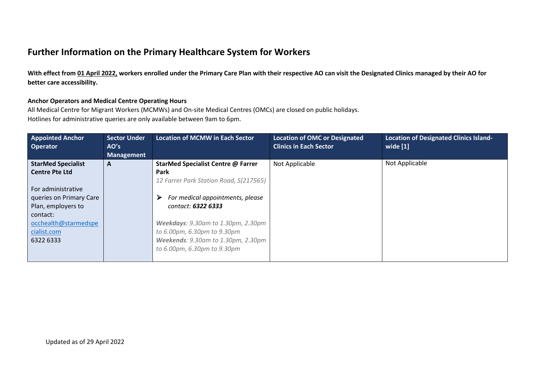## **Further Information on the Primary Healthcare System for Workers**

**With effect from 01 April 2022, workers enrolled under the Primary Care Plan with their respective AO can visit the Designated Clinics managed by their AO for better care accessibility.**

### **Anchor Operators and Medical Centre Operating Hours**

All Medical Centre for Migrant Workers (MCMWs) and On-site Medical Centres (OMCs) are closed on public holidays.

Hotlines for administrative queries are only available between 9am to 6pm.

| <b>Appointed Anchor</b><br>Operator | <b>Sector Under</b><br>AO's<br><b>Management</b> | <b>Location of MCMW in Each Sector</b>    | <b>Location of OMC or Designated</b><br><b>Clinics in Each Sector</b> | <b>Location of Designated Clinics Island-</b><br>wide [1] |
|-------------------------------------|--------------------------------------------------|-------------------------------------------|-----------------------------------------------------------------------|-----------------------------------------------------------|
| <b>StarMed Specialist</b>           | A                                                | <b>StarMed Specialist Centre @ Farrer</b> | Not Applicable                                                        | Not Applicable                                            |
| <b>Centre Pte Ltd</b>               |                                                  | Park                                      |                                                                       |                                                           |
|                                     |                                                  | 12 Farrer Park Station Road, S(217565)    |                                                                       |                                                           |
| For administrative                  |                                                  |                                           |                                                                       |                                                           |
| queries on Primary Care             |                                                  | For medical appointments, please<br>⋗     |                                                                       |                                                           |
| Plan, employers to                  |                                                  | contact: 6322 6333                        |                                                                       |                                                           |
| contact:                            |                                                  |                                           |                                                                       |                                                           |
| occhealth@starmedspe                |                                                  | Weekdays: 9.30am to 1.30pm, 2.30pm        |                                                                       |                                                           |
| cialist.com                         |                                                  | to 6.00pm, 6.30pm to 9.30pm               |                                                                       |                                                           |
| 6322 6333                           |                                                  | <b>Weekends: 9.30am to 1.30pm, 2.30pm</b> |                                                                       |                                                           |
|                                     |                                                  | to 6.00pm, 6.30pm to 9.30pm               |                                                                       |                                                           |
|                                     |                                                  |                                           |                                                                       |                                                           |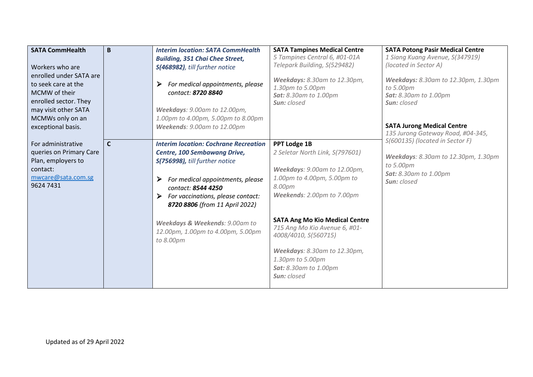| <b>SATA CommHealth</b><br>Workers who are<br>enrolled under SATA are<br>to seek care at the<br>MCMW of their<br>enrolled sector. They<br>may visit other SATA<br>MCMWs only on an<br>exceptional basis. | B            | <b>Interim location: SATA CommHealth</b><br><b>Building, 351 Chai Chee Street,</b><br>S(468982), till further notice<br>For medical appointments, please<br>≻<br>contact: 8720 8840<br>Weekdays: 9.00am to 12.00pm,<br>1.00pm to 4.00pm, 5.00pm to 8.00pm<br>Weekends: 9.00am to 12.00pm                                                        | <b>SATA Tampines Medical Centre</b><br>5 Tampines Central 6, #01-01A<br>Telepark Building, S(529482)<br>Weekdays: 8.30am to 12.30pm,<br>1.30pm to 5.00pm<br><b>Sat:</b> 8.30am to 1.00pm<br>Sun: closed                                                                                                                                                                   | <b>SATA Potong Pasir Medical Centre</b><br>1 Siang Kuang Avenue, S(347919)<br>(located in Sector A)<br>Weekdays: 8.30am to 12.30pm, 1.30pm<br>to 5.00pm<br><b>Sat:</b> 8.30am to 1.00pm<br>Sun: closed<br><b>SATA Jurong Medical Centre</b><br>135 Jurong Gateway Road, #04-345, |
|---------------------------------------------------------------------------------------------------------------------------------------------------------------------------------------------------------|--------------|-------------------------------------------------------------------------------------------------------------------------------------------------------------------------------------------------------------------------------------------------------------------------------------------------------------------------------------------------|---------------------------------------------------------------------------------------------------------------------------------------------------------------------------------------------------------------------------------------------------------------------------------------------------------------------------------------------------------------------------|----------------------------------------------------------------------------------------------------------------------------------------------------------------------------------------------------------------------------------------------------------------------------------|
| For administrative<br>queries on Primary Care<br>Plan, employers to<br>contact:<br>mwcare@sata.com.sg<br>9624 7431                                                                                      | $\mathsf{C}$ | <b>Interim location: Cochrane Recreation</b><br><b>Centre, 100 Sembawang Drive,</b><br>S(756998), till further notice<br>For medical appointments, please<br>➤<br>contact: 8544 4250<br>For vaccinations, please contact:<br>8720 8806 (from 11 April 2022)<br>Weekdays & Weekends: 9.00am to<br>12.00pm, 1.00pm to 4.00pm, 5.00pm<br>to 8.00pm | <b>PPT Lodge 1B</b><br>2 Seletar North Link, S(797601)<br>Weekdays: 9.00am to 12.00pm,<br>1.00pm to 4.00pm, 5.00pm to<br>8.00pm<br>Weekends: 2.00pm to 7.00pm<br><b>SATA Ang Mo Kio Medical Centre</b><br>715 Ang Mo Kio Avenue 6, #01-<br>4008/4010, S(560715)<br>Weekdays: 8.30am to 12.30pm,<br>1.30pm to 5.00pm<br><b>Sat:</b> 8.30am to 1.00pm<br><b>Sun:</b> closed | S(600135) (located in Sector F)<br>Weekdays: 8.30am to 12.30pm, 1.30pm<br>to 5.00pm<br><b>Sat:</b> 8.30am to 1.00pm<br><b>Sun:</b> closed                                                                                                                                        |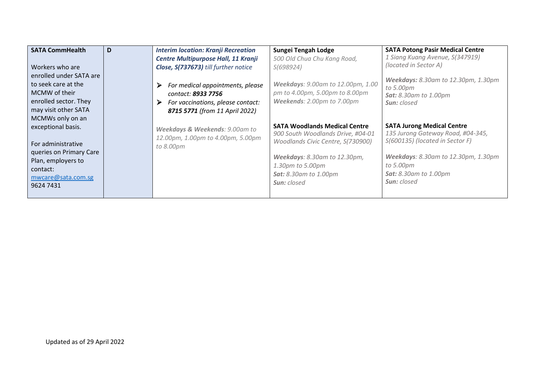| <b>SATA CommHealth</b>  | D | <b>Interim location: Kranji Recreation</b> | Sungei Tengah Lodge                  | <b>SATA Potong Pasir Medical Centre</b>          |
|-------------------------|---|--------------------------------------------|--------------------------------------|--------------------------------------------------|
|                         |   | Centre Multipurpose Hall, 11 Kranji        | 500 Old Chua Chu Kang Road,          | 1 Siang Kuang Avenue, S(347919)                  |
| Workers who are         |   | Close, S(737673) till further notice       | S(698924)                            | (located in Sector A)                            |
| enrolled under SATA are |   |                                            |                                      |                                                  |
| to seek care at the     |   | For medical appointments, please<br>≻      | Weekdays: 9.00am to 12.00pm, 1.00    | Weekdays: 8.30am to 12.30pm, 1.30pm<br>to 5.00pm |
| MCMW of their           |   | contact: 8933 7756                         | pm to 4.00pm, 5.00pm to 8.00pm       | <b>Sat:</b> 8.30am to 1.00pm                     |
| enrolled sector. They   |   | For vaccinations, please contact:<br>➤     | Weekends: 2.00pm to 7.00pm           | <b>Sun:</b> closed                               |
| may visit other SATA    |   | 8715 5771 (from 11 April 2022)             |                                      |                                                  |
| MCMWs only on an        |   |                                            |                                      |                                                  |
| exceptional basis.      |   | Weekdays & Weekends: 9.00am to             | <b>SATA Woodlands Medical Centre</b> | <b>SATA Jurong Medical Centre</b>                |
|                         |   | 12.00pm, 1.00pm to 4.00pm, 5.00pm          | 900 South Woodlands Drive, #04-01    | 135 Jurong Gateway Road, #04-345,                |
| For administrative      |   | to 8.00pm                                  | Woodlands Civic Centre, S(730900)    | S(600135) (located in Sector F)                  |
| queries on Primary Care |   |                                            |                                      |                                                  |
| Plan, employers to      |   |                                            | Weekdays: 8.30am to 12.30pm,         | Weekdays: 8.30am to 12.30pm, 1.30pm              |
| contact:                |   |                                            | 1.30pm to 5.00pm                     | to 5.00pm                                        |
| mwcare@sata.com.sg      |   |                                            | <b>Sat:</b> 8.30am to 1.00pm         | <b>Sat:</b> 8.30am to 1.00pm                     |
| 9624 7431               |   |                                            | <b>Sun:</b> closed                   | <b>Sun:</b> closed                               |
|                         |   |                                            |                                      |                                                  |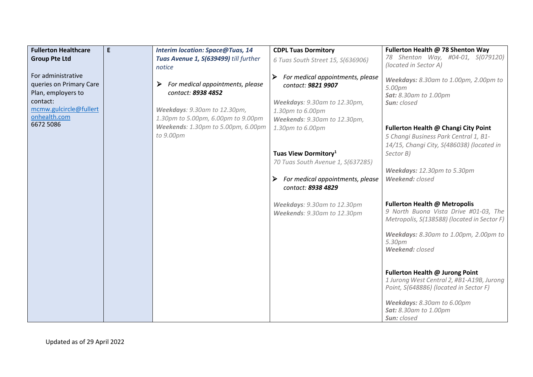| <b>Fullerton Healthcare</b>            | E. | <b>Interim location: Space@Tuas, 14</b> | <b>CDPL Tuas Dormitory</b>            | Fullerton Health @ 78 Shenton Way               |
|----------------------------------------|----|-----------------------------------------|---------------------------------------|-------------------------------------------------|
| <b>Group Pte Ltd</b>                   |    | Tuas Avenue 1, S(639499) till further   | 6 Tuas South Street 15, S(636906)     | 78 Shenton Way, #04-01, S(079120)               |
|                                        |    | notice                                  |                                       | (located in Sector A)                           |
| For administrative                     |    |                                         | For medical appointments, please<br>➤ | Weekdays: 8.30am to 1.00pm, 2.00pm to           |
| queries on Primary Care                |    | For medical appointments, please        | contact: 9821 9907                    | 5.00pm                                          |
| Plan, employers to                     |    | contact: 8938 4852                      |                                       | Sat: 8.30am to 1.00pm                           |
| contact:                               |    |                                         | Weekdays: 9.30am to 12.30pm,          | Sun: closed                                     |
| mcmw.gulcircle@fullert<br>onhealth.com |    | Weekdays: 9.30am to 12.30pm,            | 1.30pm to 6.00pm                      |                                                 |
| 6672 5086                              |    | 1.30pm to 5.00pm, 6.00pm to 9.00pm      | Weekends: 9.30am to 12.30pm,          |                                                 |
|                                        |    | Weekends: 1.30pm to 5.00pm, 6.00pm      | 1.30pm to 6.00pm                      | Fullerton Health @ Changi City Point            |
|                                        |    | to 9.00pm                               |                                       | 5 Changi Business Park Central 1, B1-           |
|                                        |    |                                         |                                       | 14/15, Changi City, S(486038) (located in       |
|                                        |    |                                         | Tuas View Dormitory <sup>1</sup>      | Sector B)                                       |
|                                        |    |                                         | 70 Tuas South Avenue 1, S(637285)     | Weekdays: 12.30pm to 5.30pm                     |
|                                        |    |                                         | For medical appointments, please<br>➤ | Weekend: closed                                 |
|                                        |    |                                         | contact: 8938 4829                    |                                                 |
|                                        |    |                                         |                                       |                                                 |
|                                        |    |                                         | Weekdays: 9.30am to 12.30pm           | Fullerton Health @ Metropolis                   |
|                                        |    |                                         | Weekends: 9.30am to 12.30pm           | 9 North Buona Vista Drive #01-03, The           |
|                                        |    |                                         |                                       | Metropolis, S(138588) (located in Sector F)     |
|                                        |    |                                         |                                       |                                                 |
|                                        |    |                                         |                                       | Weekdays: 8.30am to 1.00pm, 2.00pm to<br>5.30pm |
|                                        |    |                                         |                                       | Weekend: closed                                 |
|                                        |    |                                         |                                       |                                                 |
|                                        |    |                                         |                                       |                                                 |
|                                        |    |                                         |                                       | Fullerton Health @ Jurong Point                 |
|                                        |    |                                         |                                       | 1 Jurong West Central 2, #B1-A19B, Jurong       |
|                                        |    |                                         |                                       | Point, S(648886) (located in Sector F)          |
|                                        |    |                                         |                                       | Weekdays: 8.30am to 6.00pm                      |
|                                        |    |                                         |                                       | <b>Sat:</b> 8.30am to 1.00pm                    |
|                                        |    |                                         |                                       | Sun: closed                                     |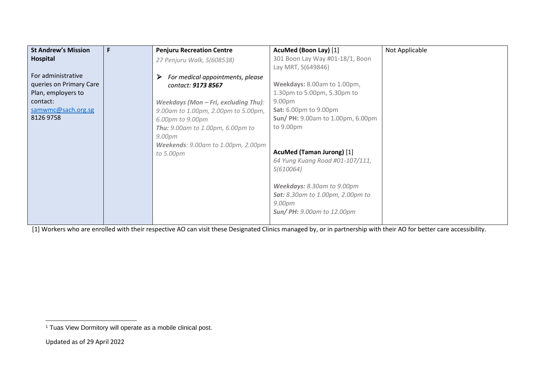| 301 Boon Lay Way #01-18/1, Boon<br>Hospital<br>27 Penjuru Walk, S(608538)                 |  |
|-------------------------------------------------------------------------------------------|--|
|                                                                                           |  |
| Lay MRT, S(649846)                                                                        |  |
| For administrative<br>For medical appointments, please                                    |  |
| Weekdays: 8.00am to 1.00pm,<br>queries on Primary Care<br>contact: <b>9173 8567</b>       |  |
| Plan, employers to<br>1.30pm to 5.00pm, 5.30pm to                                         |  |
| 9.00 <sub>pm</sub><br>contact:<br>Weekdays (Mon - Fri, excluding Thu):                    |  |
| samwmc@sach.org.sg<br><b>Sat:</b> 6.00pm to 9.00pm<br>9.00am to 1.00pm, 2.00pm to 5.00pm, |  |
| 8126 9758<br><b>Sun/ PH: 9.00am to 1.00pm, 6.00pm</b><br>6.00pm to 9.00pm                 |  |
| to 9.00pm<br><b>Thu:</b> 9.00am to 1.00pm, 6.00pm to                                      |  |
| 9.00pm                                                                                    |  |
| <b>Weekends: 9.00am to 1.00pm, 2.00pm</b>                                                 |  |
| AcuMed (Taman Jurong) [1]<br>to 5.00pm                                                    |  |
| 64 Yung Kuang Road #01-107/111,                                                           |  |
| S(610064)                                                                                 |  |
|                                                                                           |  |
| Weekdays: 8.30am to 9.00pm                                                                |  |
| <b>Sat:</b> 8.30am to 1.00pm, 2.00pm to                                                   |  |
| 9.00pm<br><b>Sun/ PH:</b> 9.00am to 12.00pm                                               |  |
|                                                                                           |  |

[1] Workers who are enrolled with their respective AO can visit these Designated Clinics managed by, or in partnership with their AO for better care accessibility.

<sup>&</sup>lt;sup>1</sup> Tuas View Dormitory will operate as a mobile clinical post.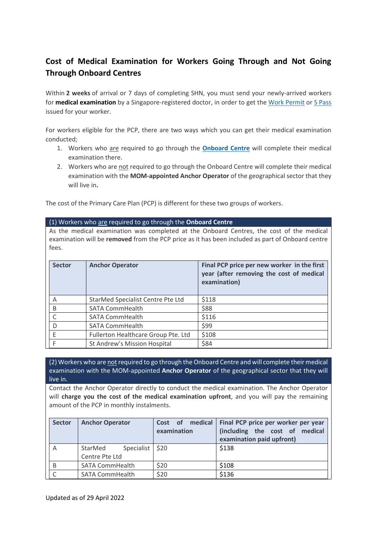### **Cost of Medical Examination for Workers Going Through and Not Going Through Onboard Centres**

Within **2 weeks** of arrival or 7 days of completing SHN, you must send your newly-arrived workers for **medical examination** by a Singapore-registered doctor, in order to get the [Work Permit](https://www.mom.gov.sg/passes-and-permits/work-permit-for-foreign-worker/apply-for-work-permit) or [S Pass](https://www.mom.gov.sg/passes-and-permits/s-pass/apply-for-a-pass) issued for your worker.

For workers eligible for the PCP, there are two ways which you can get their medical examination conducted;

- 1. Workers who are required to go through the **[Onboard Centre](https://www.mom.gov.sg/covid-19/onboard-centre)** will complete their medical examination there.
- 2. Workers who are not required to go through the Onboard Centre will complete their medical examination with the **MOM-appointed Anchor Operator** of the geographical sector that they will live in**.**

The cost of the Primary Care Plan (PCP) is different for these two groups of workers.

### (1) Workers who are required to go through the **Onboard Centre**

As the medical examination was completed at the Onboard Centres, the cost of the medical examination will be **removed** from the PCP price as it has been included as part of Onboard centre fees.

| <b>Sector</b> | <b>Anchor Operator</b>              | Final PCP price per new worker in the first<br>year (after removing the cost of medical<br>examination) |
|---------------|-------------------------------------|---------------------------------------------------------------------------------------------------------|
| A             | StarMed Specialist Centre Pte Ltd   | \$118                                                                                                   |
| B             | <b>SATA CommHealth</b>              | \$88                                                                                                    |
|               | <b>SATA CommHealth</b>              | \$116                                                                                                   |
| D             | <b>SATA CommHealth</b>              | \$99                                                                                                    |
|               | Fullerton Healthcare Group Pte. Ltd | \$108                                                                                                   |
|               | St Andrew's Mission Hospital        | \$84                                                                                                    |

(2) Workers who are not required to go through the Onboard Centre and will complete their medical examination with the MOM-appointed **Anchor Operator** of the geographical sector that they will live in.

Contact the Anchor Operator directly to conduct the medical examination. The Anchor Operator will **charge you the cost of the medical examination upfront**, and you will pay the remaining amount of the PCP in monthly instalments.

| <b>Sector</b> | <b>Anchor Operator</b> | Cost of medical<br>examination | Final PCP price per worker per year<br>(including the cost of medical<br>examination paid upfront) |
|---------------|------------------------|--------------------------------|----------------------------------------------------------------------------------------------------|
| Α             | Specialist<br>StarMed  | \$20                           | \$138                                                                                              |
|               | Centre Pte Ltd         |                                |                                                                                                    |
| B             | <b>SATA CommHealth</b> | \$20                           | \$108                                                                                              |
|               | <b>SATA CommHealth</b> | \$20                           | \$136                                                                                              |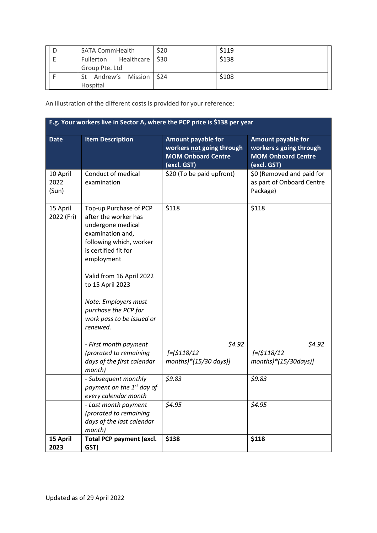| <b>SATA CommHealth</b>    | \$20 | S <sub>119</sub> |
|---------------------------|------|------------------|
| Fullerton Healthcare \$30 |      | \$138            |
| Group Pte. Ltd            |      |                  |
| St Andrew's Mission \$24  |      | \$108            |
| Hospital                  |      |                  |

An illustration of the different costs is provided for your reference:

| E.g. Your workers live in Sector A, where the PCP price is \$138 per year |                                                                                                                                                                                                                                                                                                   |                                                                                                    |                                                                                                  |  |  |
|---------------------------------------------------------------------------|---------------------------------------------------------------------------------------------------------------------------------------------------------------------------------------------------------------------------------------------------------------------------------------------------|----------------------------------------------------------------------------------------------------|--------------------------------------------------------------------------------------------------|--|--|
| <b>Date</b>                                                               | <b>Item Description</b>                                                                                                                                                                                                                                                                           | <b>Amount payable for</b><br>workers not going through<br><b>MOM Onboard Centre</b><br>(excl. GST) | <b>Amount payable for</b><br>workers s going through<br><b>MOM Onboard Centre</b><br>(excl. GST) |  |  |
| 10 April<br>2022<br>(Sun)                                                 | Conduct of medical<br>examination                                                                                                                                                                                                                                                                 | \$20 (To be paid upfront)                                                                          | \$0 (Removed and paid for<br>as part of Onboard Centre<br>Package)                               |  |  |
| 15 April<br>2022 (Fri)                                                    | Top-up Purchase of PCP<br>after the worker has<br>undergone medical<br>examination and,<br>following which, worker<br>is certified fit for<br>employment<br>Valid from 16 April 2022<br>to 15 April 2023<br>Note: Employers must<br>purchase the PCP for<br>work pass to be issued or<br>renewed. | \$118                                                                                              | \$118                                                                                            |  |  |
|                                                                           | - First month payment<br>(prorated to remaining<br>days of the first calendar<br>month)                                                                                                                                                                                                           | \$4.92<br>$[-(5118/12$<br>months) $*(15/30 \text{ days})$ ]                                        | \$4.92<br>$[-(5118/12$<br>$months)*(15/30 days)$                                                 |  |  |
|                                                                           | - Subsequent monthly<br>payment on the 1 <sup>st</sup> day of<br>every calendar month                                                                                                                                                                                                             | \$9.83                                                                                             | 59.83                                                                                            |  |  |
|                                                                           | - Last month payment<br>(prorated to remaining<br>days of the last calendar<br>month)                                                                                                                                                                                                             | \$4.95                                                                                             | \$4.95                                                                                           |  |  |
| 15 April<br>2023                                                          | <b>Total PCP payment (excl.</b><br>GST)                                                                                                                                                                                                                                                           | \$138                                                                                              | \$118                                                                                            |  |  |